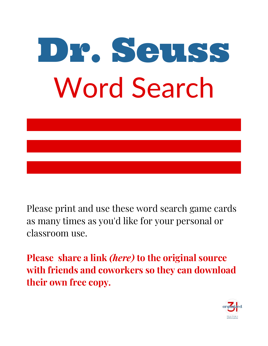

[Please print and use these word search game cards](https://organized31.com/dr-seuss-word-search-printable/) as many times as you'd like for your personal or classroom use.

**Please share a link** *(here)* **to the original source with friends and coworkers so they can download their own free copy.** 

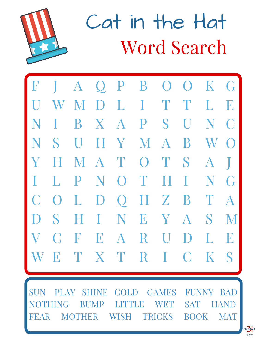

Cat in the Hat Word Search

| ${\bf F}$ |            | $\bf{A}$     |              |                 |                |                           | $Q$ P B O O   | K G         |                |
|-----------|------------|--------------|--------------|-----------------|----------------|---------------------------|---------------|-------------|----------------|
| $\prod$   | W          | M            |              |                 | DLITT          |                           |               | L           | E              |
| N         | I          | B            | $\mathbf{X}$ | $\overline{A}$  |                | P S                       | $\prod$       | N           | $\bigcup$      |
| N         | S          | $\prod$      |              | H Y             | M A            |                           | B             | W           | $\bigodot$     |
| Y         | H          |              |              | MAT             | $\overline{O}$ | T                         | S             | $\bf{A}$    |                |
| T         | L          | P            | N            | $\bigcirc$      | $\mathbf T$    | H                         | $\mathbf{I}$  | N           | $\binom{1}{1}$ |
| $\bigcup$ | $\bigcirc$ | $\mathbf{L}$ | $\bf{D}$     | $Q_{\parallel}$ |                | HZ                        | B             | T           | $\overline{A}$ |
| D         | S          | H            | $\mathbf{I}$ | N               | E              | $\boldsymbol{\mathrm{Y}}$ | $\mathbf{A}$  | S           | M              |
| V         | $\bigcap$  | F            | E            | $\bf{A}$        | R              | $\mathbf U$               | $\mathbf{D}%$ | $\mathbf L$ | E              |
| W         | E          |              | T X T        |                 | $\mathbf R$    | $\Gamma$                  | $\mathsf{C}$  | $\bf K$     | S              |
|           |            |              |              |                 |                |                           |               |             |                |

SUN PLAY SHINE COLD GAMES FUNNY BAD NG BUMP LITTLE WET SAT HAND FEAR MOTHER WISH TRICKS BOOK MAT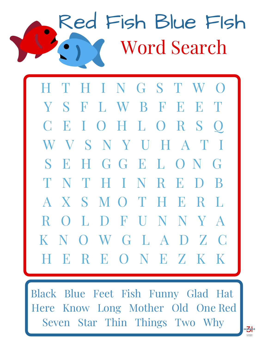## Red Fish Blue FIsh Word Search

H T H I N G S T W O Y S F L W B F E E T C E I O H L O R S Q W V S N Y U H A T I S E H G G E L O N G T N T H I N R E D B A X S M O T H E R L R O L D F U N N Y A K N O W G L A D Z C H E R E O N E Z K K

Black Blue Feet Fish Funny Glad Hat Here Know Long Mother Old One Red Seven Star Thin Things Two Why

rgang<sub>ed</sub>